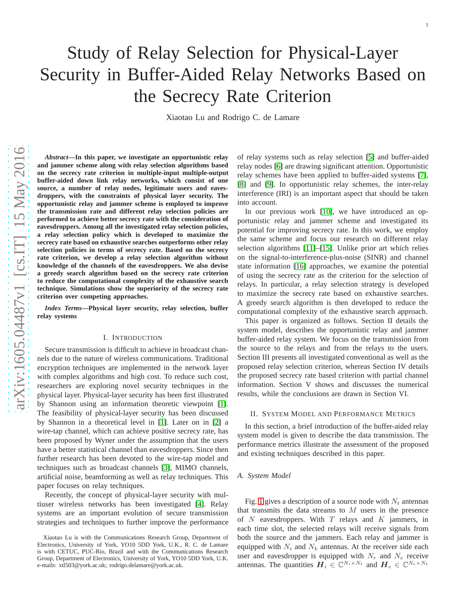# Study of Relay Selection for Physical-Layer Security in Buffer-Aided Relay Networks Based on the Secrecy Rate Criterion

Xiaotao Lu and Rodrigo C. de Lamare

*Abstract***—In this paper, we investigate an opportunistic relay and jammer scheme along with relay selection algorithms based on the secrecy rate criterion in multiple-input multiple-output buffer-aided down link relay networks, which consist of one source, a number of relay nodes, legitimate users and eavesdroppers, with the constraints of physical layer security. The opportunistic relay and jammer scheme is employed to improv e the transmission rate and different relay selection policies are performed to achieve better secrecy rate with the consideration of eavesdroppers. Among all the investigated relay selection policies, a relay selection policy which is developed to maximize the secrecy rate based on exhaustive searches outperforms other relay selection policies in terms of secrecy rate. Based on the secrecy rate criterion, we develop a relay selection algorithm without knowledge of the channels of the eavesdroppers. We also devise** a greedy search algorithm based on the secrecy rate criterion **to reduce the computational complexity of the exhaustive search technique. Simulations show the superiority of the secrecy rate criterion over competing approaches.**

*Index Terms***—Physical layer security, relay selection, buffer relay systems**

## I. INTRODUCTION

Secure transmission is difficult to achieve in broadcast channels due to the nature of wireless communications. Traditional encryption techniques are implemented in the network layer with complex algorithms and high cost. To reduce such cost, researchers are exploring novel security techniques in the physical layer. Physical-layer security has been first illustrated by Shannon using an information theoretic viewpoint [\[1\]](#page-4-0). The feasibility of physical-layer security has been discussed by Shannon in a theoretical level in [\[1\]](#page-4-0). Later on in [\[2\]](#page-4-1) a wire-tap channel, which can achieve positive secrecy rate, has been proposed by Wyner under the assumption that the users have a better statistical channel than eavesdroppers. Since then further research has been devoted to the wire-tap model and techniques such as broadcast channels [\[3\]](#page-4-2), MIMO channels, artificial noise, beamforming as well as relay techniques. This paper focuses on relay techniques.

Recently, the concept of physical-layer security with multiuser wireless networks has been investigated [\[4\]](#page-4-3). Relay systems are an important evolution of secure transmission strategies and techniques to further improve the performance

of relay systems such as relay selection [\[5\]](#page-4-4) and buffer-aide d relay nodes [\[6\]](#page-4-5) are drawing significant attention. Opportunistic relay schemes have been applied to buffer-aided systems [\[7\]](#page-4-6) , [\[8\]](#page-4-7) and [\[9\]](#page-4-8). In opportunistic relay schemes, the inter-relay interference (IRI) is an important aspect that should be taken into account.

In our previous work [\[10\]](#page-4-9), we have introduced an opportunistic relay and jammer scheme and investigated its potential for improving secrecy rate. In this work, we employ the same scheme and focus our research on different relay selection algorithms [\[11\]](#page-4-10)–[\[15\]](#page-4-11). Unlike prior art which relies on the signal-to-interference-plus-noise (SINR) and channel state information [\[16\]](#page-4-12) approaches, we examine the potentia l of using the secrecy rate as the criterion for the selection o f relays. In particular, a relay selection strategy is developed to maximize the secrecy rate based on exhaustive searches. A greedy search algorithm is then developed to reduce the computational complexity of the exhaustive search approach.

This paper is organized as follows. Section II details the system model, describes the opportunistic relay and jammer buffer-aided relay system. We focus on the transmission fro m the source to the relays and from the relays to the users. Section III presents all investigated conventional as well as the proposed relay selection criterion, whereas Section IV details the proposed secrecy rate based criterion with partial channel information. Section V shows and discusses the numerical results, while the conclusions are drawn in Section VI.

## II. SYSTEM MODEL AND PERFORMANCE METRICS

In this section, a brief introduction of the buffer-aided relay system model is given to describe the data transmission. The performance metrics illustrate the assessment of the proposed and existing techniques described in this paper.

## *A. System Model*

Fig. [1](#page-1-0) gives a description of a source node with  $N_t$  antennas that transmits the data streams to  $M$  users in the presence of  $N$  eavesdroppers. With  $T$  relays and  $K$  jammers, in each time slot, the selected relays will receive signals fro m both the source and the jammers. Each relay and jammer is equipped with  $N_i$  and  $N_k$  antennas. At the receiver side each user and eavesdropper is equipped with  $N_r$  and  $N_e$  receive antennas. The quantities  $\mathbf{H}_i \in \mathbb{C}^{N_i \times N_t}$  and  $\mathbf{H}_e \in \mathbb{C}^{N_e \times N_t}$ 

Xiaotao Lu is with the Communications Research Group, Department of Electronics, University of York, YO10 5DD York, U.K., R. C. de Lamare is with CETUC, PUC-Rio, Brazil and with the Communications Research Group, Department of Electronics, University of York, YO10 5DD York, U.K. e-mails: xtl503@york.ac.uk; rodrigo.delamare@york.ac.uk.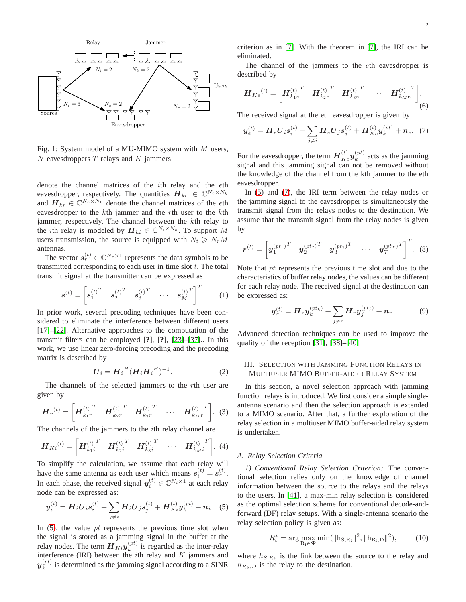<span id="page-1-0"></span>

Fig. 1: System model of a MU-MIMO system with  $M$  users,  $N$  eavesdroppers  $T$  relays and  $K$  jammers

denote the channel matrices of the ith relay and the eth eavesdropper, respectively. The quantities  $\boldsymbol{H}_{ke} \in \mathbb{C}^{N_e \times N_k}$ and  $\mathbf{H}_{kr} \in \mathbb{C}^{N_r \times N_k}$  denote the channel matrices of the eth eavesdropper to the kth jammer and the rth user to the kth jammer, respectively. The channel between the kth relay to the *i*th relay is modeled by  $\mathbf{H}_{ki} \in \mathbb{C}^{N_i \times N_k}$ . To support M users transmission, the source is equipped with  $N_t \ge N_r M$ antennas.

The vector  $s_r^{(t)} \in \mathbb{C}^{N_r \times 1}$  represents the data symbols to be transmitted corresponding to each user in time slot  $t$ . The total transmit signal at the transmitter can be expressed as

$$
\boldsymbol{s}^{(t)} = \begin{bmatrix} s_1^{(t)} & s_2^{(t)} & s_3^{(t)} & \cdots & s_M^{(t)} \end{bmatrix}^T. \tag{1}
$$

In prior work, several precoding techniques have been considered to eliminate the interference between different users [\[17\]](#page-4-13)–[\[22\]](#page-4-14). Alternative approaches to the computation of the transmit filters can be employed [**?**], [**?**], [\[23\]](#page-4-15)–[\[37\]](#page-5-0).. In this work, we use linear zero-forcing precoding and the precoding matrix is described by

$$
U_i = H_i{}^H (H_i H_i{}^H)^{-1}.
$$
 (2)

The channels of the selected jammers to the rth user are given by

$$
\boldsymbol{H}_r^{(t)} = \left[ \boldsymbol{H}_{k_1r}^{(t)}^T \quad \boldsymbol{H}_{k_2r}^{(t)}^T \quad \boldsymbol{H}_{k_3r}^{(t)}^T \quad \cdots \quad \boldsymbol{H}_{k_Mr}^{(t)}^T \right]. \tag{3}
$$

The channels of the jammers to the ith relay channel are

$$
\boldsymbol{H}_{Ki}^{(t)} = \left[ \boldsymbol{H}_{k_1i}^{(t)}^T \quad \boldsymbol{H}_{k_2i}^{(t)}^T \quad \boldsymbol{H}_{k_3i}^{(t)}^T \quad \cdots \quad \boldsymbol{H}_{k_Mi}^{(t)}^T \right]. \tag{4}
$$

To simplify the calculation, we assume that each relay will have the same antenna as each user which means  $s_i^{(t)} = s_r^{(t)}$ . In each phase, the received signal  $y_i^{(t)} \in \mathbb{C}^{N_i \times 1}$  at each relay node can be expressed as:

<span id="page-1-1"></span>
$$
\boldsymbol{y}_i^{(t)} = \boldsymbol{H}_i \boldsymbol{U}_i \boldsymbol{s}_i^{(t)} + \sum_{j \neq i} \boldsymbol{H}_i \boldsymbol{U}_j \boldsymbol{s}_j^{(t)} + \boldsymbol{H}_{Ki}^{(t)} \boldsymbol{y}_k^{(pt)} + \boldsymbol{n}_i \quad (5)
$$

In  $(5)$ , the value pt represents the previous time slot when the signal is stored as a jamming signal in the buffer at the relay nodes. The term  $\boldsymbol{H}_{Ki} \boldsymbol{y}_{k}^{(pt)}$  $\binom{p}{k}$  is regarded as the inter-relay interference (IRI) between the  $i$ th relay and  $K$  jammers and  $\boldsymbol{y}_k^{(pt)}$  $\binom{p}{k}$  is determined as the jamming signal according to a SINR criterion as in [\[7\]](#page-4-6). With the theorem in [\[7\]](#page-4-6), the IRI can be eliminated.

The channel of the jammers to the eth eavesdropper is described by

$$
\boldsymbol{H}_{Ke}^{(t)} = \begin{bmatrix} {\boldsymbol{H}_{k_{1}e}^{(t)}}^T & {\boldsymbol{H}_{k_{2}e}^{(t)}}^T & {\boldsymbol{H}_{k_{3}e}^{(t)}}^T & \cdots & {\boldsymbol{H}_{k_{M}e}^{(t)}}^T \end{bmatrix} .
$$
 (6)

The received signal at the eth eavesdropper is given by

<span id="page-1-2"></span>
$$
\boldsymbol{y}_e^{(t)} = \boldsymbol{H}_e \boldsymbol{U}_i \boldsymbol{s}_i^{(t)} + \sum_{j \neq i} \boldsymbol{H}_e \boldsymbol{U}_j \boldsymbol{s}_j^{(t)} + \boldsymbol{H}_{Ke}^{(t)} \boldsymbol{y}_k^{(pt)} + \boldsymbol{n}_e. \tag{7}
$$

For the eavesdropper, the term  $H_{Ke}^{(t)}y_k^{(pt)}$  $k^{(p)}$  acts as the jamming signal and this jamming signal can not be removed without the knowledge of the channel from the kth jammer to the eth eavesdropper.

In [\(5\)](#page-1-1) and [\(7\)](#page-1-2), the IRI term between the relay nodes or the jamming signal to the eavesdropper is simultaneously the transmit signal from the relays nodes to the destination. We assume that the transmit signal from the relay nodes is given by

$$
\boldsymbol{r}^{(t)} = \left[ \boldsymbol{y}_1^{(pt_1)}^T \quad \boldsymbol{y}_2^{(pt_2)}^T \quad \boldsymbol{y}_3^{(pt_3)}^T \quad \cdots \quad \boldsymbol{y}_T^{(pt_T)}^T \right]^T. \tag{8}
$$

Note that pt represents the previous time slot and due to the characteristics of buffer relay nodes, the values can be different for each relay node. The received signal at the destination can be expressed as:

$$
\boldsymbol{y}_r^{(t)} = \boldsymbol{H}_r \boldsymbol{y}_k^{(pt_k)} + \sum_{j \neq r} \boldsymbol{H}_r \boldsymbol{y}_j^{(pt_j)} + \boldsymbol{n}_r. \tag{9}
$$

Advanced detection techniques can be used to improve the quality of the reception [\[31\]](#page-4-16), [\[38\]](#page-5-1)–[\[40\]](#page-5-2)

## III. SELECTION WITH JAMMING FUNCTION RELAYS IN MULTIUSER MIMO BUFFER-AIDED RELAY SYSTEM

In this section, a novel selection approach with jamming function relays is introduced. We first consider a simple singleantenna scenario and then the selection approach is extended to a MIMO scenario. After that, a further exploration of the relay selection in a multiuser MIMO buffer-aided relay system is undertaken.

## *A. Relay Selection Criteria*

*1) Conventional Relay Selection Criterion:* The conventional selection relies only on the knowledge of channel information between the source to the relays and the relays to the users. In [\[41\]](#page-5-3), a max-min relay selection is considered as the optimal selection scheme for conventional decode-andforward (DF) relay setups. With a single-antenna scenario the relay selection policy is given as:

$$
R_i^* = \arg\max_{\mathbf{R_i} \in \mathbf{\Psi}} \min(||\mathbf{h}_{\mathbf{S}, \mathbf{R_i}}||^2, ||\mathbf{h}_{\mathbf{R_i}, \mathbf{D}}||^2), \tag{10}
$$

where  $h_{S,R_k}$  is the link between the source to the relay and  $h_{R_k,D}$  is the relay to the destination.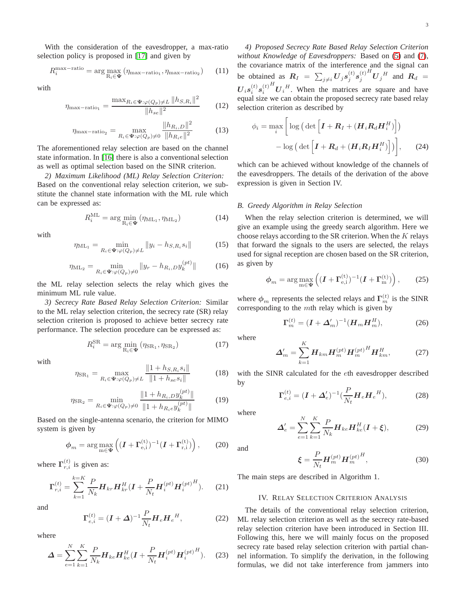With the consideration of the eavesdropper, a max-ratio selection policy is proposed in [\[17\]](#page-4-13) and given by

$$
R_i^{\max - \text{ratio}} = \arg \max_{\mathbf{R}_i \in \Psi} \left( \eta_{\max - \text{ratio}_1}, \eta_{\max - \text{ratio}_2} \right) \tag{11}
$$

with

$$
\eta_{\max - \text{ratio}_1} = \frac{\max_{R_i \in \Psi : \varphi(Q_p) \neq L} \|h_{S,R_i}\|^2}{\|h_{se}\|^2}
$$
(12)

$$
\eta_{\text{max-ratio}_2} = \max_{R_i \in \Psi : \varphi(Q_p) \neq 0} \frac{\|h_{R_i, D}\|^2}{\|h_{R_i e}\|^2} \tag{13}
$$

The aforementioned relay selection are based on the channel state information. In [\[16\]](#page-4-12) there is also a conventional selection as well as optimal selection based on the SINR criterion.

*2) Maximum Likelihood (ML) Relay Selection Criterion:* Based on the conventional relay selection criterion, we substitute the channel state information with the ML rule which can be expressed as:

$$
R_i^{\text{ML}} = \arg\min_{\mathbf{R}_i \in \mathbf{\Psi}} (\eta_{\text{ML}_1}, \eta_{\text{ML}_2}) \tag{14}
$$

with

$$
\eta_{\text{ML}_1} = \min_{R_i \in \Psi : \varphi(Q_p) \neq L} \|y_i - h_{S,R_i} s_i\| \tag{15}
$$

$$
\eta_{\rm ML_2} = \min_{R_i \in \Psi : \varphi(Q_p) \neq 0} \|y_r - h_{R_i, D} y_k^{(pt)}\| \tag{16}
$$

the ML relay selection selects the relay which gives the minimum ML rule value.

*3) Secrecy Rate Based Relay Selection Criterion:* Similar to the ML relay selection criterion, the secrecy rate (SR) relay selection criterion is proposed to achieve better secrecy rate performance. The selection procedure can be expressed as:

$$
R_i^{\text{SR}} = \arg\min_{\mathbf{R}_i \in \mathbf{\Psi}} (\eta_{\text{SR}_1}, \eta_{\text{SR}_2}) \tag{17}
$$

with

$$
\eta_{\text{SR}_1} = \max_{R_i \in \Psi : \varphi(Q_p) \neq L} \frac{\|1 + h_{S,R_i} s_i\|}{\|1 + h_{se} s_i\|} \tag{18}
$$

$$
\eta_{\text{SR}_2} = \min_{R_i \in \Psi : \varphi(Q_p) \neq 0} \frac{\|1 + h_{R_i, D} y_k^{(pt)}\|}{\|1 + h_{R_i e} y_k^{(pt)}\|} \tag{19}
$$

Based on the single-antenna scenario, the criterion for MIMO system is given by

$$
\phi_m = \arg \max_{m \in \Psi} \left( (I + \Gamma_{e,i}^{(t)})^{-1} (I + \Gamma_{r,i}^{(t)}) \right), \tag{20}
$$

where  $\Gamma_{r,i}^{(t)}$  is given as:

$$
\Gamma_{r,i}^{(t)} = \sum_{k=1}^{k=K} \frac{P}{N_k} H_{kr} H_{kr}^H (I + \frac{P}{N_t} H_i^{(pt)} H_i^{(pt)^H}).
$$
 (21)

and

$$
\Gamma_{e,i}^{(t)} = (I + \Delta)^{-1} \frac{P}{N_t} H_e H_e^H,
$$
\n(22)

where

$$
\mathbf{\Delta} = \sum_{e=1}^{N} \sum_{k=1}^{K} \frac{P}{N_k} \mathbf{H}_{ke} \mathbf{H}_{ke}^H (\mathbf{I} + \frac{P}{N_t} \mathbf{H}_{i}^{(pt)} \mathbf{H}_{i}^{(pt)^H}).
$$
 (23)

*4) Proposed Secrecy Rate Based Relay Selection Criterion without Knowledge of Eavesdroppers:* Based on [\(5\)](#page-1-1) and [\(7\)](#page-1-2), the covariance matrix of the interference and the signal can be obtained as  $R_I = \sum_{j \neq i} U_j s_j^{(t)} s_j^{(t)}$  $^{H}U_{j}^{H}$  and  $R_{d}$  =  $\boldsymbol{U}_{i}\boldsymbol{s}_{i}^{(t)}\boldsymbol{s}_{i}^{(t)}$  $U_i^H$ . When the matrices are square and have equal size we can obtain the proposed secrecy rate based relay selection criterion as described by

<span id="page-2-0"></span>
$$
\phi_i = \max_i \left[ \log \left( \det \left[ \boldsymbol{I} + \boldsymbol{R}_I + (\boldsymbol{H}_i \boldsymbol{R}_d \boldsymbol{H}_i^H) \right] \right) - \log \left( \det \left[ \boldsymbol{I} + \boldsymbol{R}_d + (\boldsymbol{H}_i \boldsymbol{R}_I \boldsymbol{H}_i^H) \right] \right) \right], \qquad (24)
$$

which can be achieved without knowledge of the channels of the eavesdroppers. The details of the derivation of the above expression is given in Section IV.

#### *B. Greedy Algorithm in Relay Selection*

When the relay selection criterion is determined, we will give an example using the greedy search algorithm. Here we choose relays according to the SR criterion. When the  $K$  relays that forward the signals to the users are selected, the relays used for signal reception are chosen based on the SR criterion, as given by

$$
\phi_m = \arg \max_{\mathbf{m} \in \mathbf{\Psi}} \left( (\mathbf{I} + \mathbf{\Gamma}_{\mathbf{e},i}^{(t)})^{-1} (\mathbf{I} + \mathbf{\Gamma}_{\mathbf{m}}^{(t)}) \right), \qquad (25)
$$

where  $\phi_m$  represents the selected relays and  $\Gamma_m^{(t)}$  is the SINR corresponding to the mth relay which is given by

$$
\Gamma_m^{(t)} = (I + \Delta'_m)^{-1} (H_m H_m^H), \tag{26}
$$

where

$$
\Delta'_{m} = \sum_{k=1}^{K} H_{km} H_{m}^{(pt)} H_{m}^{(pt)}^{H} H_{km}^{H},
$$
 (27)

with the SINR calculated for the eth eavesdropper described by

$$
\Gamma_{e,i}^{(t)} = (I + \Delta'_e)^{-1} \left(\frac{P}{N_t} H_e H_e^H\right),\tag{28}
$$

where

$$
\Delta'_{e} = \sum_{e=1}^{N} \sum_{k=1}^{K} \frac{P}{N_k} \boldsymbol{H}_{ke} \boldsymbol{H}_{ke}^{H} (\boldsymbol{I} + \boldsymbol{\xi}), \tag{29}
$$

and

$$
\boldsymbol{\xi} = \frac{P}{N_t} \boldsymbol{H}_m^{(pt)} \boldsymbol{H}_m^{(pt)^H},\tag{30}
$$

The main steps are described in Algorithm 1.

## IV. RELAY SELECTION CRITERION ANALYSIS

The details of the conventional relay selection criterion, ML relay selection criterion as well as the secrecy rate-based relay selection criterion have been introduced in Section III. Following this, here we will mainly focus on the proposed secrecy rate based relay selection criterion with partial channel information. To simplify the derivation, in the following formulas, we did not take interference from jammers into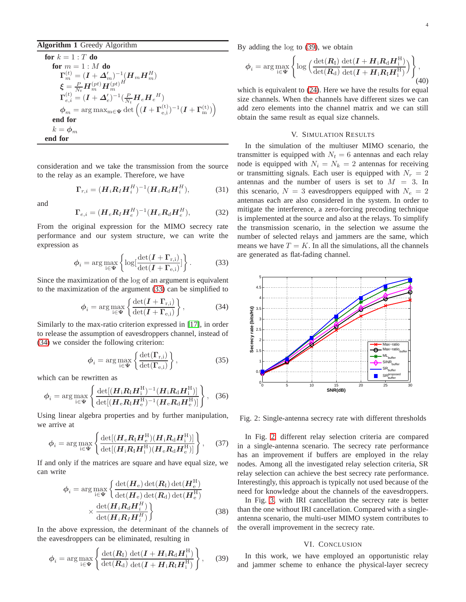## **Algorithm 1** Greedy Algorithm

for 
$$
k = 1 : T
$$
 do  
\nfor  $m = 1 : M$  do  
\n
$$
\Gamma_m^{(t)} = (I + \Delta_m')^{-1} (H_m H_m^H)
$$
\n
$$
\xi = \frac{P}{N_t} H_m^{(pt)} H_m^{(pt)H}
$$
\n
$$
\Gamma_{e,i}^{(t)} = (I + \Delta_e')^{-1} (\frac{P}{N_t} H_e H_e^H)
$$
\n
$$
\phi_m = \arg \max_{m \in \Psi} \det \left( (I + \Gamma_{e,i}^{(t)})^{-1} (I + \Gamma_m^{(t)}) \right)
$$
\nend for  
\n $k = \phi_m$   
\nend for

consideration and we take the transmission from the source to the relay as an example. Therefore, we have

$$
\Gamma_{r,i} = (\boldsymbol{H}_i \boldsymbol{R}_I \boldsymbol{H}_i^H)^{-1} (\boldsymbol{H}_i \boldsymbol{R}_d \boldsymbol{H}_i^H), \tag{31}
$$

and

$$
\Gamma_{e,i} = (H_e R_I H_e^H)^{-1} (H_e R_d H_e^H), \tag{32}
$$

From the original expression for the MIMO secrecy rate performance and our system structure, we can write the expression as

<span id="page-3-0"></span>
$$
\phi_i = \arg \max_{i \in \Psi} \left\{ \log \left[ \frac{\det(I + \Gamma_{r,i})}{\det(I + \Gamma_{e,i})} \right] \right\}.
$$
 (33)

Since the maximization of the log of an argument is equivalent to the maximization of the argument [\(33\)](#page-3-0) can be simplified to

<span id="page-3-1"></span>
$$
\phi_i = \arg \max_{i \in \Psi} \left\{ \frac{\det(I + \Gamma_{r,i})}{\det(I + \Gamma_{e,i})} \right\},\tag{34}
$$

Similarly to the max-ratio criterion expressed in [\[17\]](#page-4-13), in order to release the assumption of eavesdroppers channel, instead of [\(34\)](#page-3-1) we consider the following criterion:

$$
\phi_i = \arg \max_{i \in \Psi} \left\{ \frac{\det(\Gamma_{r,i})}{\det(\Gamma_{e,i})} \right\},\tag{35}
$$

which can be rewritten as

$$
\phi_i = \arg \max_{i \in \Psi} \left\{ \frac{\det[(\boldsymbol{H}_i \boldsymbol{R}_i \boldsymbol{H}_i^H)^{-1} (\boldsymbol{H}_i \boldsymbol{R}_d \boldsymbol{H}_i^H)]}{\det[(\boldsymbol{H}_e \boldsymbol{R}_i \boldsymbol{H}_e^H)^{-1} (\boldsymbol{H}_e \boldsymbol{R}_d \boldsymbol{H}_e^H)]} \right\}, \quad (36)
$$

Using linear algebra properties and by further manipulation, we arrive at

$$
\phi_i = \arg \max_{i \in \Psi} \left\{ \frac{\det[(\boldsymbol{H}_e \boldsymbol{R}_i \boldsymbol{H}_e^H)(\boldsymbol{H}_i \boldsymbol{R}_d \boldsymbol{H}_i^H)]}{\det[(\boldsymbol{H}_i \boldsymbol{R}_i \boldsymbol{H}_i^H)(\boldsymbol{H}_e \boldsymbol{R}_d \boldsymbol{H}_e^H)]} \right\}, \quad (37)
$$

If and only if the matrices are square and have equal size, we can write

$$
\phi_{i} = \arg \max_{i \in \Psi} \left\{ \frac{\det(\boldsymbol{H}_{e}) \det(\boldsymbol{R}_{I}) \det(\boldsymbol{H}_{e}^{H})}{\det(\boldsymbol{H}_{e}) \det(\boldsymbol{R}_{d}) \det(\boldsymbol{H}_{e}^{H})} \times \frac{\det(\boldsymbol{H}_{i} \boldsymbol{R}_{d} \boldsymbol{H}_{i}^{H})}{\det(\boldsymbol{H}_{i} \boldsymbol{R}_{I} \boldsymbol{H}_{i}^{H})} \right\}
$$
(38)

In the above expression, the determinant of the channels of the eavesdroppers can be eliminated, resulting in

<span id="page-3-2"></span>
$$
\phi_i = \arg \max_{i \in \Psi} \left\{ \frac{\det(\boldsymbol{R}_I)}{\det(\boldsymbol{R}_d)} \frac{\det(\boldsymbol{I} + \boldsymbol{H}_i \boldsymbol{R}_d \boldsymbol{H}_i^H)}{\det(\boldsymbol{I} + \boldsymbol{H}_i \boldsymbol{R}_I \boldsymbol{H}_i^H)} \right\},\tag{39}
$$

By adding the log to [\(39\)](#page-3-2), we obtain

$$
\phi_i = \arg \max_{i \in \Psi} \left\{ \log \left( \frac{\det(\mathbf{R}_I)}{\det(\mathbf{R}_d)} \frac{\det(\mathbf{I} + \mathbf{H}_i \mathbf{R}_d \mathbf{H}_i^H)}{\det(\mathbf{I} + \mathbf{H}_i \mathbf{R}_I \mathbf{H}_i^H)} \right) \right\},\tag{40}
$$

which is equivalent to [\(24\)](#page-2-0). Here we have the results for equal size channels. When the channels have different sizes we can add zero elements into the channel matrix and we can still obtain the same result as equal size channels.

# V. SIMULATION RESULTS

In the simulation of the multiuser MIMO scenario, the transmitter is equipped with  $N_t = 6$  antennas and each relay node is equipped with  $N_i = N_k = 2$  antennas for receiving or transmitting signals. Each user is equipped with  $N_r = 2$ antennas and the number of users is set to  $M = 3$ . In this scenario,  $N = 3$  eavesdroppers equipped with  $N_e = 2$ antennas each are also considered in the system. In order to mitigate the interference, a zero-forcing precoding technique is implemented at the source and also at the relays. To simplify the transmission scenario, in the selection we assume the number of selected relays and jammers are the same, which means we have  $T = K$ . In all the simulations, all the channels are generated as flat-fading channel.

<span id="page-3-3"></span>

Fig. 2: Single-antenna secrecy rate with different thresholds

In Fig. [2,](#page-3-3) different relay selection criteria are compared in a single-antenna scenario. The secrecy rate performance has an improvement if buffers are employed in the relay nodes. Among all the investigated relay selection criteria, SR relay selection can achieve the best secrecy rate performance. Interestingly, this approach is typically not used because of the need for knowledge about the channels of the eavesdroppers.

In Fig. [3,](#page-4-17) with IRI cancellation the secrecy rate is better than the one without IRI cancellation. Compared with a singleantenna scenario, the multi-user MIMO system contributes to the overall improvement in the secrecy rate.

# VI. CONCLUSION

In this work, we have employed an opportunistic relay and jammer scheme to enhance the physical-layer secrecy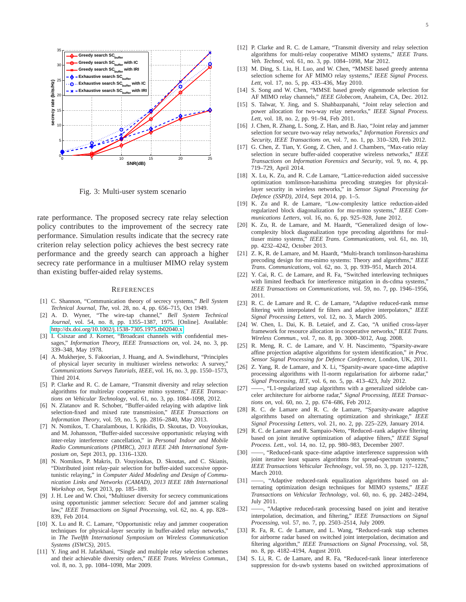<span id="page-4-17"></span>

Fig. 3: Multi-user system scenario

rate performance. The proposed secrecy rate relay selection policy contributes to the improvement of the secrecy rate performance. Simulation results indicate that the secrecy rate criterion relay selection policy achieves the best secrecy rate performance and the greedy search can approach a higher secrecy rate performance in a multiuser MIMO relay system than existing buffer-aided relay systems.

#### **REFERENCES**

- <span id="page-4-0"></span>[1] C. Shannon, "Communication theory of secrecy systems," *Bell System Technical Journal, The*, vol. 28, no. 4, pp. 656–715, Oct 1949.
- <span id="page-4-1"></span>[2] A. D. Wyner, "The wire-tap channel," *Bell System Technical Journal*, vol. 54, no. 8, pp. 1355–1387, 1975. [Online]. Available: <http://dx.doi.org/10.1002/j.1538-7305.1975.tb02040.x>
- <span id="page-4-2"></span>[3] I. Csiszar and J. Korner, "Broadcast channels with confidential messages," *Information Theory, IEEE Transactions on*, vol. 24, no. 3, pp. 339–348, May 1978.
- <span id="page-4-3"></span>[4] A. Mukherjee, S. Fakoorian, J. Huang, and A. Swindlehurst, "Principles of physical layer security in multiuser wireless networks: A survey," *Communications Surveys Tutorials, IEEE*, vol. 16, no. 3, pp. 1550–1573, Third 2014.
- <span id="page-4-4"></span>[5] P. Clarke and R. C. de Lamare, "Transmit diversity and relay selection algorithms for multirelay cooperative mimo systems," *IEEE Transactions on Vehicular Technology*, vol. 61, no. 3, pp. 1084–1098, 2012.
- <span id="page-4-5"></span>[6] N. Zlatanov and R. Schober, "Buffer-aided relaying with adaptive link selection-fixed and mixed rate transmission," *IEEE Transactions on Information Theory*, vol. 59, no. 5, pp. 2816–2840, May 2013.
- <span id="page-4-6"></span>[7] N. Nomikos, T. Charalambous, I. Krikidis, D. Skoutas, D. Vouyioukas, and M. Johansson, "Buffer-aided successive opportunistic relaying with inter-relay interference cancellation," in *Personal Indoor and Mobile Radio Communications (PIMRC), 2013 IEEE 24th International Symposium on*, Sept 2013, pp. 1316–1320.
- <span id="page-4-7"></span>[8] N. Nomikos, P. Makris, D. Vouyioukas, D. Skoutas, and C. Skianis, "Distributed joint relay-pair selection for buffer-aided successive opportunistic relaying," in *Computer Aided Modeling and Design of Communication Links and Networks (CAMAD), 2013 IEEE 18th International Workshop on*, Sept 2013, pp. 185–189.
- <span id="page-4-8"></span>[9] J. H. Lee and W. Choi, "Multiuser diversity for secrecy communications using opportunistic jammer selection: Secure dof and jammer scaling law," *IEEE Transactions on Signal Processing*, vol. 62, no. 4, pp. 828– 839, Feb 2014.
- <span id="page-4-9"></span>[10] X. Lu and R. C. Lamare, "Opportunistic relay and jammer cooperation techniques for physical-layer security in buffer-aided relay networks," in *The Twelfth International Symposium on Wireless Communication Systems (ISWCS)*, 2015.
- <span id="page-4-10"></span>[11] Y. Jing and H. Jafarkhani, "Single and multiple relay selection schemes and their achievable diversity orders," *IEEE Trans. Wireless Commun.*, vol. 8, no. 3, pp. 1084–1098, Mar 2009.
- [12] P. Clarke and R. C. de Lamare, "Transmit diversity and relay selection algorithms for multi-relay cooperative MIMO systems," *IEEE Trans. Veh. Technol*, vol. 61, no. 3, pp. 1084–1098, Mar 2012.
- [13] M. Ding, S. Liu, H. Luo, and W. Chen, "MMSE based greedy antenna selection scheme for AF MIMO relay systems," *IEEE Signal Process. Lett*, vol. 17, no. 5, pp. 433–436, May 2010.
- [14] S. Song and W. Chen, "MMSE based greedy eigenmode selection for AF MIMO relay channels," *IEEE Globecom*, Anaheim, CA, Dec. 2012.
- <span id="page-4-11"></span>[15] S. Talwar, Y. Jing, and S. Shahbazpanahi, "Joint relay selection and power allocation for two-way relay networks," *IEEE Signal Process. Lett*, vol. 18, no. 2, pp. 91–94, Feb 2011.
- <span id="page-4-12"></span>[16] J. Chen, R. Zhang, L. Song, Z. Han, and B. Jiao, "Joint relay and jammer selection for secure two-way relay networks," *Information Forensics and Security, IEEE Transactions on*, vol. 7, no. 1, pp. 310–320, Feb 2012.
- <span id="page-4-13"></span>[17] G. Chen, Z. Tian, Y. Gong, Z. Chen, and J. Chambers, "Max-ratio relay selection in secure buffer-aided cooperative wireless networks," *IEEE Transactions on Information Forensics and Security*, vol. 9, no. 4, pp. 719–729, April 2014.
- [18] X. Lu, K. Zu, and R. C.de Lamare, "Lattice-reduction aided successive optimization tomlinson-harashima precoding strategies for physicallayer security in wireless networks," in *Sensor Signal Processing for Defence (SSPD), 2014*, Sept 2014, pp. 1–5.
- [19] K. Zu and R. de Lamare, "Low-complexity lattice reduction-aided regularized block diagonalization for mu-mimo systems," *IEEE Communications Letters*, vol. 16, no. 6, pp. 925–928, June 2012.
- [20] K. Zu, R. de Lamare, and M. Haardt, "Generalized design of lowcomplexity block diagonalization type precoding algorithms for multiuser mimo systems," *IEEE Trans. Communications*, vol. 61, no. 10, pp. 4232–4242, October 2013.
- [21] Z. K, R. de Lamare, and M. Haardt, "Multi-branch tomlinson-harashima precoding design for mu-mimo systems: Theory and algorithms," *IEEE Trans. Communications*, vol. 62, no. 3, pp. 939–951, March 2014.
- <span id="page-4-14"></span>[22] Y. Cai, R. C. de Lamare, and R. Fa, "Switched interleaving techniques with limited feedback for interference mitigation in ds-cdma systems," *IEEE Transactions on Communications*, vol. 59, no. 7, pp. 1946–1956, 2011.
- <span id="page-4-15"></span>[23] R. C. de Lamare and R. C. de Lamare, "Adaptive reduced-rank mmse filtering with interpolated fir filters and adaptive interpolators," *IEEE Signal Processing Letters*, vol. 12, no. 3, March 2005.
- [24] W. Chen, L. Dai, K. B. Letaief, and Z. Cao, "A unified cross-layer framework for resource allocation in cooperative networks," *IEEE Trans. Wireless Commun.*, vol. 7, no. 8, pp. 3000–3012, Aug. 2008.
- [25] R. Meng, R. C. de Lamare, and V. H. Nascimento, "Sparsity-aware affine projection adaptive algorithms for system identification," *in Proc. Sensor Signal Processing for Defence Conference*, London, UK, 2011.
- [26] Z. Yang, R. de Lamare, and X. Li, "Sparsity-aware space-time adaptive processing algorithms with l1-norm regularisation for airborne radar," *Signal Processing, IET*, vol. 6, no. 5, pp. 413–423, July 2012.
- [27] -, "L1-regularized stap algorithms with a generalized sidelobe canceler architecture for airborne radar," *Signal Processing, IEEE Transactions on*, vol. 60, no. 2, pp. 674–686, Feb 2012.
- [28] R. C. de Lamare and R. C. de Lamare, "Sparsity-aware adaptive algorithms based on alternating optimization and shrinkage," *IEEE Signal Processing Letters*, vol. 21, no. 2, pp. 225–229, January 2014.
- [29] R. C. de Lamare and R. Sampaio-Neto, "Reduced–rank adaptive filtering based on joint iterative optimization of adaptive filters," *IEEE Signal Process. Lett.*, vol. 14, no. 12, pp. 980–983, December 2007.
- [30] -, "Reduced-rank space–time adaptive interference suppression with joint iterative least squares algorithms for spread-spectrum systems," *IEEE Transactions Vehicular Technology*, vol. 59, no. 3, pp. 1217–1228, March 2010.
- <span id="page-4-16"></span>[31] - Adaptive reduced-rank equalization algorithms based on alternating optimization design techniques for MIMO systems," *IEEE Transactions on Vehicular Technology*, vol. 60, no. 6, pp. 2482–2494, July 2011.
- [32] -, "Adaptive reduced-rank processing based on joint and iterative interpolation, decimation, and filtering," *IEEE Transactions on Signal Processing*, vol. 57, no. 7, pp. 2503–2514, July 2009.
- [33] R. Fa, R. C. de Lamare, and L. Wang, "Reduced-rank stap schemes for airborne radar based on switched joint interpolation, decimation and filtering algorithm," *IEEE Transactions on Signal Processing*, vol. 58, no. 8, pp. 4182–4194, August 2010.
- [34] S. Li, R. C. de Lamare, and R. Fa, "Reduced-rank linear interference suppression for ds-uwb systems based on switched approximations of